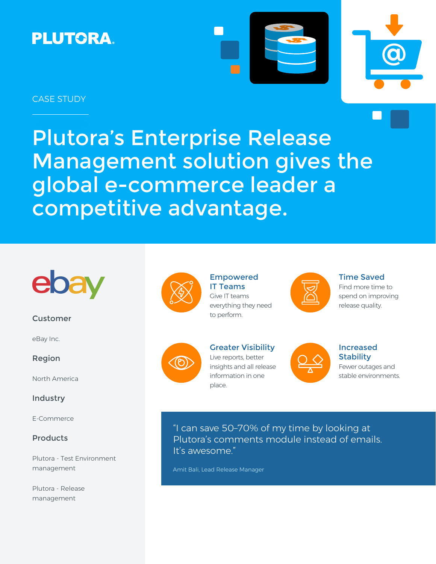# **PLUTORA.**





## CASE STUDY

Plutora's Enterprise Release Management solution gives the global e-commerce leader a competitive advantage.



### Customer

eBay Inc.

Region

North America

## Industry

E-Commerce

## Products

Plutora - Test Environment management

Plutora - Release management



Empowered IT Teams Give IT teams everything they need to perform.



#### Time Saved

Find more time to spend on improving release quality.



Greater Visibility Live reports, better insights and all release information in one place.



## Increased **Stability** Fewer outages and

stable environments.

"I can save 50–70% of my time by looking at Plutora's comments module instead of emails. It's awesome."

Amit Bali, Lead Release Manager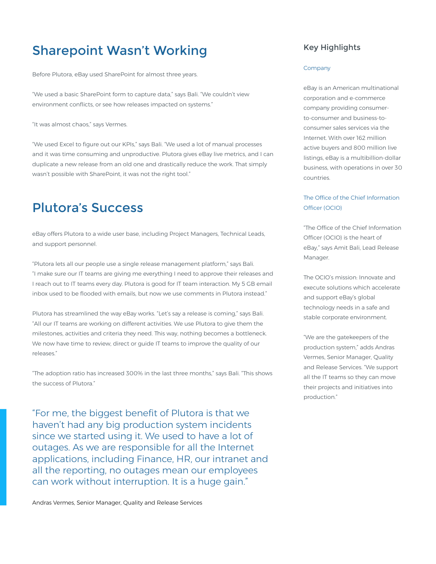## Sharepoint Wasn't Working

Before Plutora, eBay used SharePoint for almost three years.

"We used a basic SharePoint form to capture data," says Bali. "We couldn't view environment conflicts, or see how releases impacted on systems."

"It was almost chaos," says Vermes.

"We used Excel to figure out our KPIs," says Bali. "We used a lot of manual processes and it was time consuming and unproductive. Plutora gives eBay live metrics, and I can duplicate a new release from an old one and drastically reduce the work. That simply wasn't possible with SharePoint, it was not the right tool."

## Plutora's Success

eBay offers Plutora to a wide user base, including Project Managers, Technical Leads, and support personnel.

"Plutora lets all our people use a single release management platform," says Bali. "I make sure our IT teams are giving me everything I need to approve their releases and I reach out to IT teams every day. Plutora is good for IT team interaction. My 5 GB email inbox used to be flooded with emails, but now we use comments in Plutora instead."

Plutora has streamlined the way eBay works. "Let's say a release is coming," says Bali. "All our IT teams are working on different activities. We use Plutora to give them the milestones, activities and criteria they need. This way, nothing becomes a bottleneck. We now have time to review, direct or guide IT teams to improve the quality of our releases."

"The adoption ratio has increased 300% in the last three months," says Bali. "This shows the success of Plutora."

"For me, the biggest benefit of Plutora is that we haven't had any big production system incidents since we started using it. We used to have a lot of outages. As we are responsible for all the Internet applications, including Finance, HR, our intranet and all the reporting, no outages mean our employees can work without interruption. It is a huge gain."

## Key Highlights

#### Company

eBay is an American multinational corporation and e-commerce company providing consumerto-consumer and business-toconsumer sales services via the Internet. With over 162 million active buyers and 800 million live listings, eBay is a multibillion-dollar business, with operations in over 30 countries.

### The Office of the Chief Information Officer (OCIO)

"The Office of the Chief Information Officer (OCIO) is the heart of eBay," says Amit Bali, Lead Release Manager.

The OCIO's mission: Innovate and execute solutions which accelerate and support eBay's global technology needs in a safe and stable corporate environment.

"We are the gatekeepers of the production system," adds Andras Vermes, Senior Manager, Quality and Release Services. "We support all the IT teams so they can move their projects and initiatives into production."